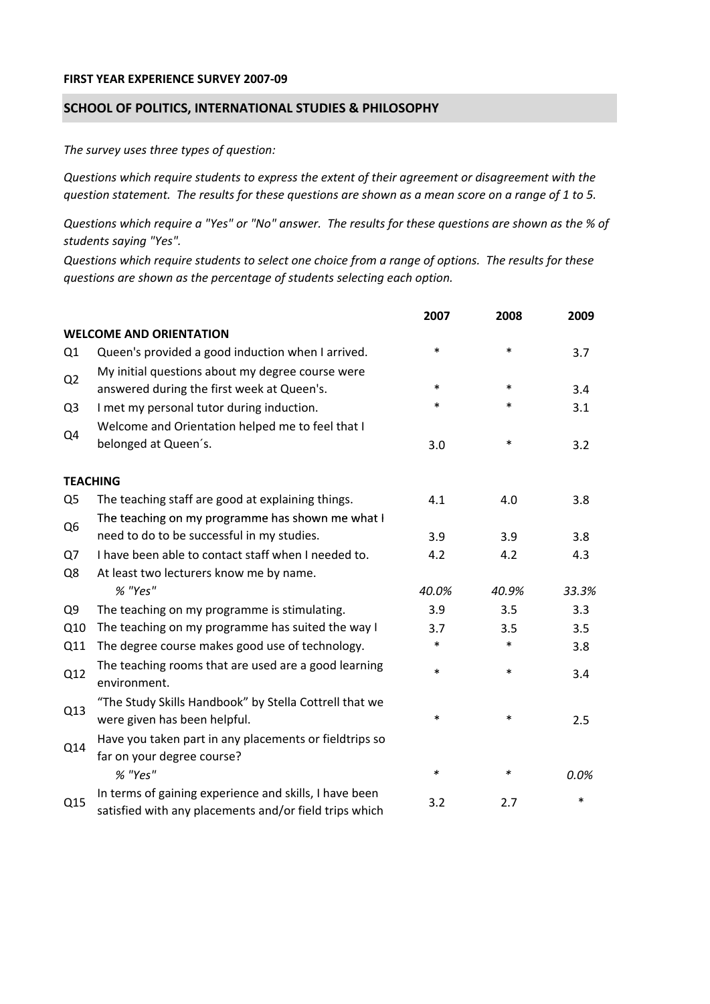## **FIRST YEAR EXPERIENCE SURVEY 2007‐09**

## **SCHOOL OF POLITICS, INTERNATIONAL STUDIES & PHILOSOPHY**

*The survey uses three types of question:*

*Questions which require students to express the extent of their agreement or disagreement with the* question statement. The results for these questions are shown as a mean score on a range of 1 to 5.

Questions which require a "Yes" or "No" answer. The results for these questions are shown as the % of *students saying "Yes".*

Questions which require students to select one choice from a range of options. The results for these *questions are shown as the percentage of students selecting each option.*

|                |                                                                                                                  | 2007   | 2008   | 2009   |
|----------------|------------------------------------------------------------------------------------------------------------------|--------|--------|--------|
|                | <b>WELCOME AND ORIENTATION</b>                                                                                   |        |        |        |
| Q <sub>1</sub> | Queen's provided a good induction when I arrived.                                                                | $\ast$ | $\ast$ | 3.7    |
| Q2             | My initial questions about my degree course were<br>answered during the first week at Queen's.                   | $\ast$ | $\ast$ | 3.4    |
| Q <sub>3</sub> | I met my personal tutor during induction.                                                                        | *      | $\ast$ | 3.1    |
| Q4             | Welcome and Orientation helped me to feel that I                                                                 |        |        |        |
|                | belonged at Queen's.                                                                                             | 3.0    | $\ast$ | 3.2    |
|                | <b>TEACHING</b>                                                                                                  |        |        |        |
| Q <sub>5</sub> | The teaching staff are good at explaining things.                                                                | 4.1    | 4.0    | 3.8    |
|                | The teaching on my programme has shown me what I                                                                 |        |        |        |
| Q <sub>6</sub> | need to do to be successful in my studies.                                                                       | 3.9    | 3.9    | 3.8    |
| Q7             | I have been able to contact staff when I needed to.                                                              | 4.2    | 4.2    | 4.3    |
| Q8             | At least two lecturers know me by name.                                                                          |        |        |        |
|                | % "Yes"                                                                                                          | 40.0%  | 40.9%  | 33.3%  |
| Q <sub>9</sub> | The teaching on my programme is stimulating.                                                                     | 3.9    | 3.5    | 3.3    |
| Q10            | The teaching on my programme has suited the way I                                                                | 3.7    | 3.5    | 3.5    |
| Q11            | The degree course makes good use of technology.                                                                  | *      | $\ast$ | 3.8    |
| Q12            | The teaching rooms that are used are a good learning<br>environment.                                             | $\ast$ | $\ast$ | 3.4    |
| Q13            | "The Study Skills Handbook" by Stella Cottrell that we<br>were given has been helpful.                           | *      | $\ast$ | 2.5    |
| Q14            | Have you taken part in any placements or fieldtrips so<br>far on your degree course?                             |        |        |        |
|                | % "Yes"                                                                                                          | $\ast$ | ∗      | 0.0%   |
| Q15            | In terms of gaining experience and skills, I have been<br>satisfied with any placements and/or field trips which | 3.2    | 2.7    | $\ast$ |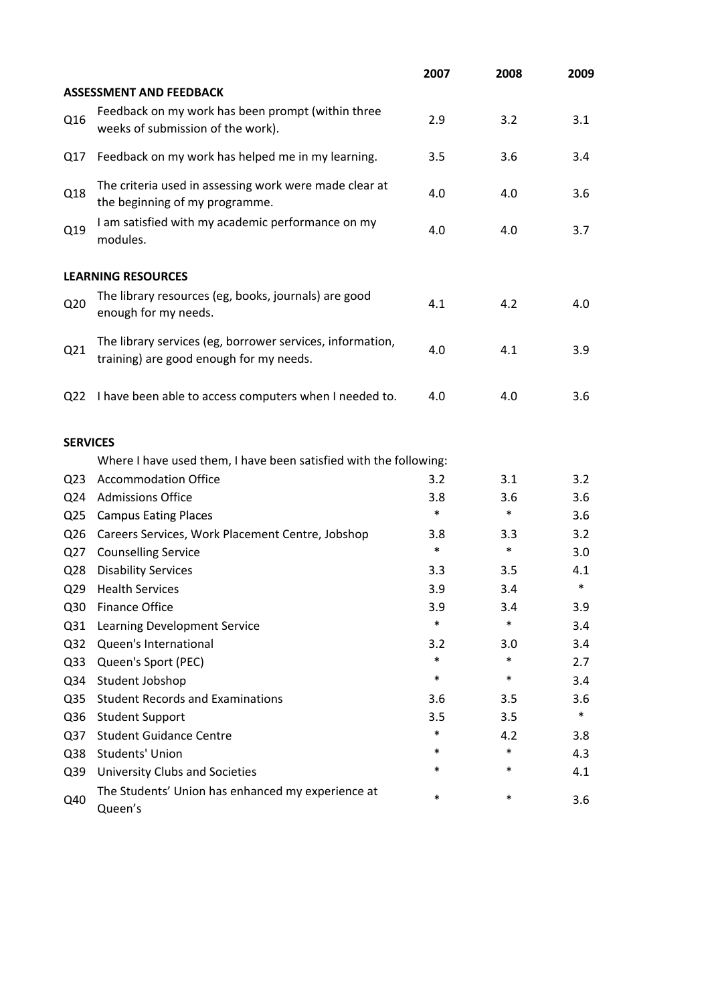|                 |                                                                                                      | 2007   | 2008   | 2009   |
|-----------------|------------------------------------------------------------------------------------------------------|--------|--------|--------|
|                 | <b>ASSESSMENT AND FEEDBACK</b>                                                                       |        |        |        |
| Q16             | Feedback on my work has been prompt (within three<br>weeks of submission of the work).               | 2.9    | 3.2    | 3.1    |
| Q17             | Feedback on my work has helped me in my learning.                                                    | 3.5    | 3.6    | 3.4    |
| Q18             | The criteria used in assessing work were made clear at<br>the beginning of my programme.             | 4.0    | 4.0    | 3.6    |
| Q19             | I am satisfied with my academic performance on my<br>modules.                                        | 4.0    | 4.0    | 3.7    |
|                 | <b>LEARNING RESOURCES</b>                                                                            |        |        |        |
| Q <sub>20</sub> | The library resources (eg, books, journals) are good<br>enough for my needs.                         | 4.1    | 4.2    | 4.0    |
| Q21             | The library services (eg, borrower services, information,<br>training) are good enough for my needs. | 4.0    | 4.1    | 3.9    |
| Q <sub>22</sub> | I have been able to access computers when I needed to.                                               | 4.0    | 4.0    | 3.6    |
| <b>SERVICES</b> |                                                                                                      |        |        |        |
|                 | Where I have used them, I have been satisfied with the following:                                    |        |        |        |
| Q <sub>23</sub> | <b>Accommodation Office</b>                                                                          | 3.2    | 3.1    | 3.2    |
| Q24             | <b>Admissions Office</b>                                                                             | 3.8    | 3.6    | 3.6    |
| Q <sub>25</sub> | <b>Campus Eating Places</b>                                                                          | $\ast$ | $\ast$ | 3.6    |
| Q <sub>26</sub> | Careers Services, Work Placement Centre, Jobshop                                                     | 3.8    | 3.3    | 3.2    |
| Q27             | <b>Counselling Service</b>                                                                           | $\ast$ | $\ast$ | 3.0    |
| Q <sub>28</sub> | <b>Disability Services</b>                                                                           | 3.3    | 3.5    | 4.1    |
| Q <sub>29</sub> | <b>Health Services</b>                                                                               | 3.9    | 3.4    | $\ast$ |
| Q30             | <b>Finance Office</b>                                                                                | 3.9    | 3.4    | 3.9    |
| Q <sub>31</sub> | Learning Development Service                                                                         | $\ast$ | $\ast$ | 3.4    |
| Q <sub>32</sub> | Queen's International                                                                                | 3.2    | 3.0    | 3.4    |
| Q <sub>33</sub> | Queen's Sport (PEC)                                                                                  | $\ast$ | $\ast$ | 2.7    |
| Q34             | Student Jobshop                                                                                      | $\ast$ | $\ast$ | 3.4    |
| Q <sub>35</sub> | <b>Student Records and Examinations</b>                                                              | 3.6    | 3.5    | 3.6    |
| Q36             | <b>Student Support</b>                                                                               | 3.5    | 3.5    | $\ast$ |
| Q <sub>37</sub> | <b>Student Guidance Centre</b>                                                                       | $\ast$ | 4.2    | 3.8    |
| Q38             | Students' Union                                                                                      | *      | $\ast$ | 4.3    |
| Q39             | University Clubs and Societies                                                                       | *      | $\ast$ | 4.1    |
| Q40             | The Students' Union has enhanced my experience at<br>Queen's                                         | $\ast$ | $\ast$ | 3.6    |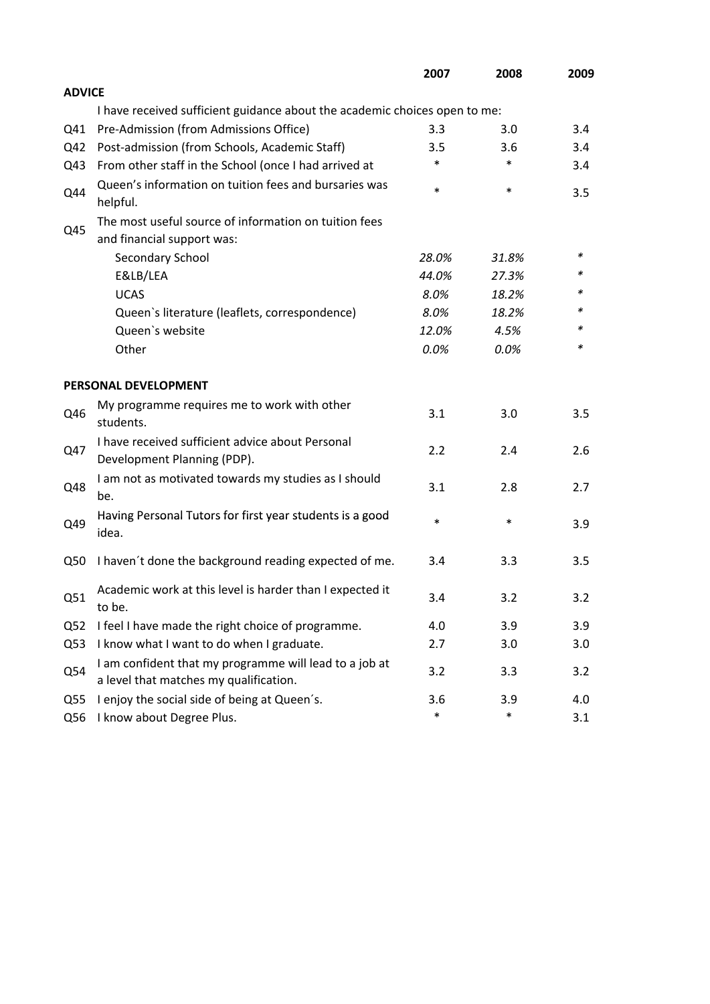|                 |                                                                                                  | 2007   | 2008   | 2009 |
|-----------------|--------------------------------------------------------------------------------------------------|--------|--------|------|
| <b>ADVICE</b>   |                                                                                                  |        |        |      |
|                 | I have received sufficient guidance about the academic choices open to me:                       |        |        |      |
| Q41             | Pre-Admission (from Admissions Office)                                                           | 3.3    | 3.0    | 3.4  |
| Q42             | Post-admission (from Schools, Academic Staff)                                                    | 3.5    | 3.6    | 3.4  |
| Q43             | From other staff in the School (once I had arrived at                                            | *      | $\ast$ | 3.4  |
| Q44             | Queen's information on tuition fees and bursaries was<br>helpful.                                | $\ast$ | $\ast$ | 3.5  |
|                 | The most useful source of information on tuition fees                                            |        |        |      |
| Q45             | and financial support was:                                                                       |        |        |      |
|                 | Secondary School                                                                                 | 28.0%  | 31.8%  | ∗    |
|                 | E&LB/LEA                                                                                         | 44.0%  | 27.3%  | *    |
|                 | <b>UCAS</b>                                                                                      | 8.0%   | 18.2%  |      |
|                 | Queen's literature (leaflets, correspondence)                                                    | 8.0%   | 18.2%  | *    |
|                 | Queen's website                                                                                  | 12.0%  | 4.5%   | *    |
|                 | Other                                                                                            | 0.0%   | 0.0%   | *    |
|                 | PERSONAL DEVELOPMENT                                                                             |        |        |      |
| Q46             | My programme requires me to work with other<br>students.                                         | 3.1    | 3.0    | 3.5  |
| Q47             | I have received sufficient advice about Personal<br>Development Planning (PDP).                  | 2.2    | 2.4    | 2.6  |
| Q48             | I am not as motivated towards my studies as I should<br>be.                                      | 3.1    | 2.8    | 2.7  |
| Q49             | Having Personal Tutors for first year students is a good<br>idea.                                | $\ast$ | $\ast$ | 3.9  |
| Q50             | I haven't done the background reading expected of me.                                            | 3.4    | 3.3    | 3.5  |
| Q51             | Academic work at this level is harder than I expected it<br>to be.                               | 3.4    | 3.2    | 3.2  |
| Q <sub>52</sub> | I feel I have made the right choice of programme.                                                | 4.0    | 3.9    | 3.9  |
| Q53             | I know what I want to do when I graduate.                                                        | 2.7    | 3.0    | 3.0  |
| Q54             | I am confident that my programme will lead to a job at<br>a level that matches my qualification. | 3.2    | 3.3    | 3.2  |
| Q <sub>55</sub> | I enjoy the social side of being at Queen's.                                                     | 3.6    | 3.9    | 4.0  |
| Q56             | I know about Degree Plus.                                                                        | $\ast$ | $\ast$ | 3.1  |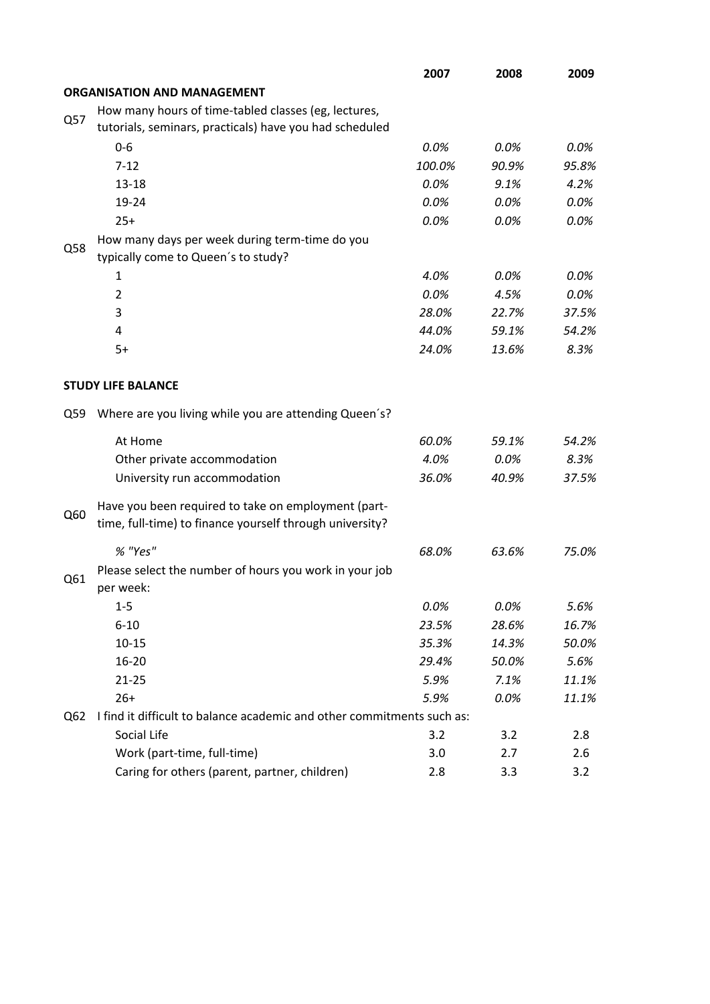|     |                                                                                                                 | 2007   | 2008  | 2009  |
|-----|-----------------------------------------------------------------------------------------------------------------|--------|-------|-------|
|     | <b>ORGANISATION AND MANAGEMENT</b>                                                                              |        |       |       |
|     | How many hours of time-tabled classes (eg, lectures,                                                            |        |       |       |
| Q57 | tutorials, seminars, practicals) have you had scheduled                                                         |        |       |       |
|     | $0-6$                                                                                                           | 0.0%   | 0.0%  | 0.0%  |
|     | $7 - 12$                                                                                                        | 100.0% | 90.9% | 95.8% |
|     | $13 - 18$                                                                                                       | 0.0%   | 9.1%  | 4.2%  |
|     | 19-24                                                                                                           | 0.0%   | 0.0%  | 0.0%  |
|     | $25+$                                                                                                           | 0.0%   | 0.0%  | 0.0%  |
|     | How many days per week during term-time do you                                                                  |        |       |       |
| Q58 | typically come to Queen's to study?                                                                             |        |       |       |
|     | 1                                                                                                               | 4.0%   | 0.0%  | 0.0%  |
|     | $\overline{2}$                                                                                                  | 0.0%   | 4.5%  | 0.0%  |
|     | 3                                                                                                               | 28.0%  | 22.7% | 37.5% |
|     | 4                                                                                                               | 44.0%  | 59.1% | 54.2% |
|     | $5+$                                                                                                            | 24.0%  | 13.6% | 8.3%  |
|     |                                                                                                                 |        |       |       |
|     | <b>STUDY LIFE BALANCE</b>                                                                                       |        |       |       |
| Q59 | Where are you living while you are attending Queen's?                                                           |        |       |       |
|     | At Home                                                                                                         | 60.0%  | 59.1% | 54.2% |
|     | Other private accommodation                                                                                     | 4.0%   | 0.0%  | 8.3%  |
|     | University run accommodation                                                                                    | 36.0%  | 40.9% | 37.5% |
|     |                                                                                                                 |        |       |       |
| Q60 | Have you been required to take on employment (part-<br>time, full-time) to finance yourself through university? |        |       |       |
|     |                                                                                                                 |        |       |       |
|     | % "Yes"                                                                                                         | 68.0%  | 63.6% | 75.0% |
| Q61 | Please select the number of hours you work in your job                                                          |        |       |       |
|     | per week:                                                                                                       |        |       |       |
|     | $1 - 5$                                                                                                         | 0.0%   | 0.0%  | 5.6%  |
|     | $6 - 10$                                                                                                        | 23.5%  | 28.6% | 16.7% |
|     | $10 - 15$                                                                                                       | 35.3%  | 14.3% | 50.0% |
|     | $16 - 20$                                                                                                       | 29.4%  | 50.0% | 5.6%  |
|     | $21 - 25$                                                                                                       | 5.9%   | 7.1%  | 11.1% |
|     | $26+$                                                                                                           | 5.9%   | 0.0%  | 11.1% |
| Q62 | I find it difficult to balance academic and other commitments such as:                                          |        |       |       |
|     | Social Life                                                                                                     | 3.2    | 3.2   | 2.8   |
|     | Work (part-time, full-time)                                                                                     | 3.0    | 2.7   | 2.6   |
|     | Caring for others (parent, partner, children)                                                                   | 2.8    | 3.3   | 3.2   |